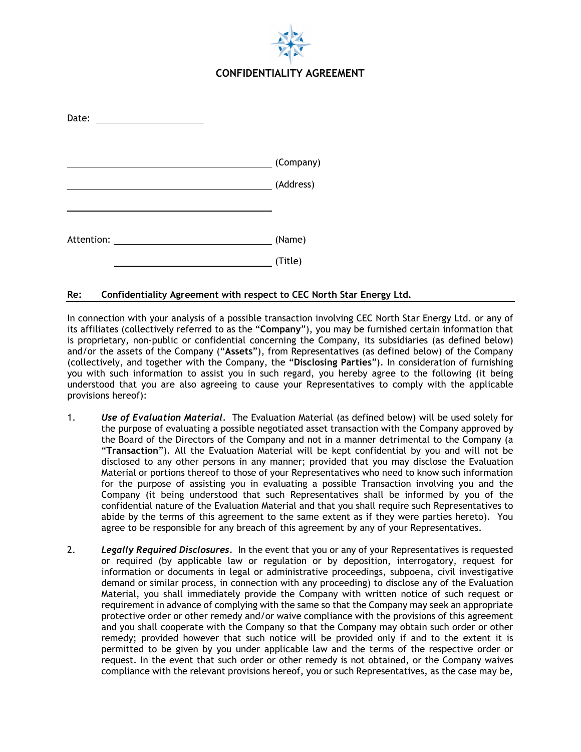

| Date:                 |           |
|-----------------------|-----------|
|                       | (Company) |
|                       | (Address) |
| Attention: Attention: | (Name)    |
|                       | (Title)   |

## **Re: Confidentiality Agreement with respect to CEC North Star Energy Ltd.**

In connection with your analysis of a possible transaction involving CEC North Star Energy Ltd. or any of its affiliates (collectively referred to as the "**Company**"), you may be furnished certain information that is proprietary, non-public or confidential concerning the Company, its subsidiaries (as defined below) and/or the assets of the Company ("**Assets**"), from Representatives (as defined below) of the Company (collectively, and together with the Company, the "**Disclosing Parties**"). In consideration of furnishing you with such information to assist you in such regard, you hereby agree to the following (it being understood that you are also agreeing to cause your Representatives to comply with the applicable provisions hereof):

- 1. *Use of Evaluation Material.* The Evaluation Material (as defined below) will be used solely for the purpose of evaluating a possible negotiated asset transaction with the Company approved by the Board of the Directors of the Company and not in a manner detrimental to the Company (a "**Transaction**"). All the Evaluation Material will be kept confidential by you and will not be disclosed to any other persons in any manner; provided that you may disclose the Evaluation Material or portions thereof to those of your Representatives who need to know such information for the purpose of assisting you in evaluating a possible Transaction involving you and the Company (it being understood that such Representatives shall be informed by you of the confidential nature of the Evaluation Material and that you shall require such Representatives to abide by the terms of this agreement to the same extent as if they were parties hereto). You agree to be responsible for any breach of this agreement by any of your Representatives.
- 2. *Legally Required Disclosures.* In the event that you or any of your Representatives is requested or required (by applicable law or regulation or by deposition, interrogatory, request for information or documents in legal or administrative proceedings, subpoena, civil investigative demand or similar process, in connection with any proceeding) to disclose any of the Evaluation Material, you shall immediately provide the Company with written notice of such request or requirement in advance of complying with the same so that the Company may seek an appropriate protective order or other remedy and/or waive compliance with the provisions of this agreement and you shall cooperate with the Company so that the Company may obtain such order or other remedy; provided however that such notice will be provided only if and to the extent it is permitted to be given by you under applicable law and the terms of the respective order or request. In the event that such order or other remedy is not obtained, or the Company waives compliance with the relevant provisions hereof, you or such Representatives, as the case may be,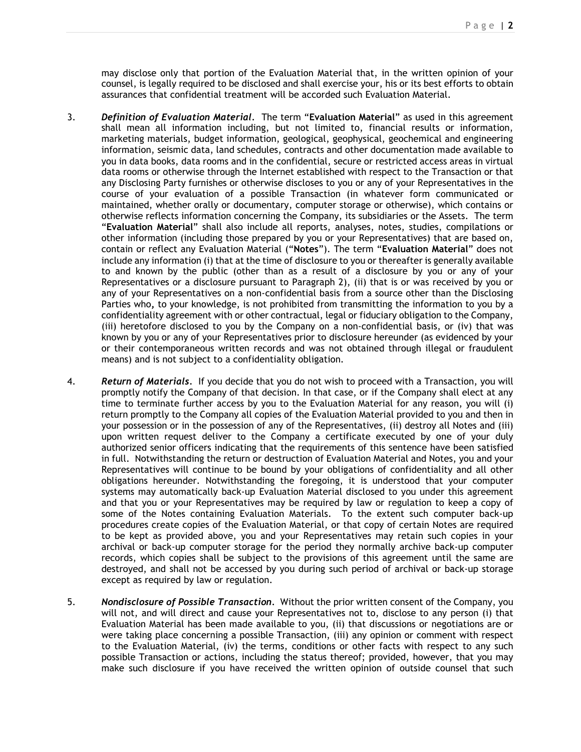may disclose only that portion of the Evaluation Material that, in the written opinion of your counsel, is legally required to be disclosed and shall exercise your, his or its best efforts to obtain assurances that confidential treatment will be accorded such Evaluation Material.

- 3. *Definition of Evaluation Material.* The term "**Evaluation Material**" as used in this agreement shall mean all information including, but not limited to, financial results or information, marketing materials, budget information, geological, geophysical, geochemical and engineering information, seismic data, land schedules, contracts and other documentation made available to you in data books, data rooms and in the confidential, secure or restricted access areas in virtual data rooms or otherwise through the Internet established with respect to the Transaction or that any Disclosing Party furnishes or otherwise discloses to you or any of your Representatives in the course of your evaluation of a possible Transaction (in whatever form communicated or maintained, whether orally or documentary, computer storage or otherwise), which contains or otherwise reflects information concerning the Company, its subsidiaries or the Assets. The term "**Evaluation Material**" shall also include all reports, analyses, notes, studies, compilations or other information (including those prepared by you or your Representatives) that are based on, contain or reflect any Evaluation Material ("**Notes**"). The term "**Evaluation Material**" does not include any information (i) that at the time of disclosure to you or thereafter is generally available to and known by the public (other than as a result of a disclosure by you or any of your Representatives or a disclosure pursuant to Paragraph 2), (ii) that is or was received by you or any of your Representatives on a non-confidential basis from a source other than the Disclosing Parties who**,** to your knowledge, is not prohibited from transmitting the information to you by a confidentiality agreement with or other contractual, legal or fiduciary obligation to the Company, (iii) heretofore disclosed to you by the Company on a non-confidential basis, or (iv) that was known by you or any of your Representatives prior to disclosure hereunder (as evidenced by your or their contemporaneous written records and was not obtained through illegal or fraudulent means) and is not subject to a confidentiality obligation.
- 4. *Return of Materials.* If you decide that you do not wish to proceed with a Transaction, you will promptly notify the Company of that decision. In that case, or if the Company shall elect at any time to terminate further access by you to the Evaluation Material for any reason, you will (i) return promptly to the Company all copies of the Evaluation Material provided to you and then in your possession or in the possession of any of the Representatives, (ii) destroy all Notes and (iii) upon written request deliver to the Company a certificate executed by one of your duly authorized senior officers indicating that the requirements of this sentence have been satisfied in full. Notwithstanding the return or destruction of Evaluation Material and Notes, you and your Representatives will continue to be bound by your obligations of confidentiality and all other obligations hereunder. Notwithstanding the foregoing, it is understood that your computer systems may automatically back-up Evaluation Material disclosed to you under this agreement and that you or your Representatives may be required by law or regulation to keep a copy of some of the Notes containing Evaluation Materials. To the extent such computer back-up procedures create copies of the Evaluation Material, or that copy of certain Notes are required to be kept as provided above, you and your Representatives may retain such copies in your archival or back-up computer storage for the period they normally archive back-up computer records, which copies shall be subject to the provisions of this agreement until the same are destroyed, and shall not be accessed by you during such period of archival or back-up storage except as required by law or regulation.
- 5. *Nondisclosure of Possible Transaction.* Without the prior written consent of the Company, you will not, and will direct and cause your Representatives not to, disclose to any person (i) that Evaluation Material has been made available to you, (ii) that discussions or negotiations are or were taking place concerning a possible Transaction, (iii) any opinion or comment with respect to the Evaluation Material, (iv) the terms, conditions or other facts with respect to any such possible Transaction or actions, including the status thereof; provided, however, that you may make such disclosure if you have received the written opinion of outside counsel that such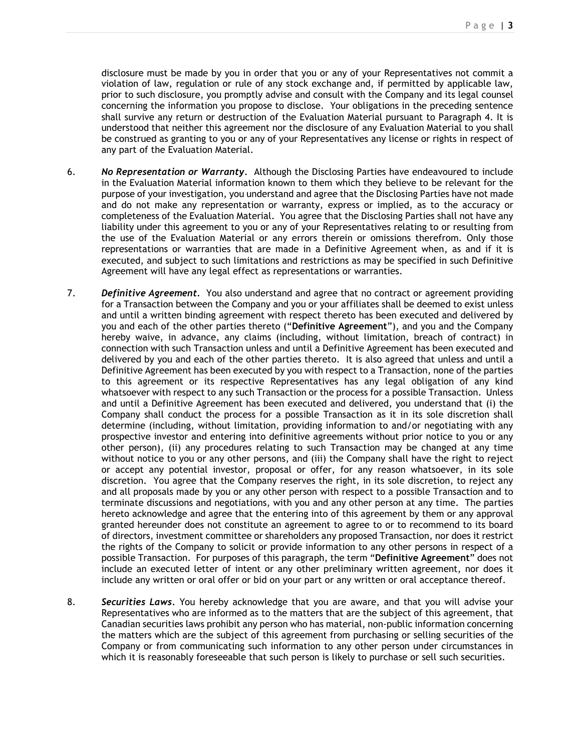disclosure must be made by you in order that you or any of your Representatives not commit a violation of law, regulation or rule of any stock exchange and, if permitted by applicable law, prior to such disclosure, you promptly advise and consult with the Company and its legal counsel concerning the information you propose to disclose. Your obligations in the preceding sentence shall survive any return or destruction of the Evaluation Material pursuant to Paragraph 4. It is understood that neither this agreement nor the disclosure of any Evaluation Material to you shall be construed as granting to you or any of your Representatives any license or rights in respect of any part of the Evaluation Material.

- 6. *No Representation or Warranty.* Although the Disclosing Parties have endeavoured to include in the Evaluation Material information known to them which they believe to be relevant for the purpose of your investigation, you understand and agree that the Disclosing Parties have not made and do not make any representation or warranty, express or implied, as to the accuracy or completeness of the Evaluation Material. You agree that the Disclosing Parties shall not have any liability under this agreement to you or any of your Representatives relating to or resulting from the use of the Evaluation Material or any errors therein or omissions therefrom. Only those representations or warranties that are made in a Definitive Agreement when, as and if it is executed, and subject to such limitations and restrictions as may be specified in such Definitive Agreement will have any legal effect as representations or warranties.
- 7. *Definitive Agreement.* You also understand and agree that no contract or agreement providing for a Transaction between the Company and you or your affiliates shall be deemed to exist unless and until a written binding agreement with respect thereto has been executed and delivered by you and each of the other parties thereto ("**Definitive Agreement**"), and you and the Company hereby waive, in advance, any claims (including, without limitation, breach of contract) in connection with such Transaction unless and until a Definitive Agreement has been executed and delivered by you and each of the other parties thereto. It is also agreed that unless and until a Definitive Agreement has been executed by you with respect to a Transaction, none of the parties to this agreement or its respective Representatives has any legal obligation of any kind whatsoever with respect to any such Transaction or the process for a possible Transaction. Unless and until a Definitive Agreement has been executed and delivered, you understand that (i) the Company shall conduct the process for a possible Transaction as it in its sole discretion shall determine (including, without limitation, providing information to and/or negotiating with any prospective investor and entering into definitive agreements without prior notice to you or any other person), (ii) any procedures relating to such Transaction may be changed at any time without notice to you or any other persons, and (iii) the Company shall have the right to reject or accept any potential investor, proposal or offer, for any reason whatsoever, in its sole discretion. You agree that the Company reserves the right, in its sole discretion, to reject any and all proposals made by you or any other person with respect to a possible Transaction and to terminate discussions and negotiations, with you and any other person at any time. The parties hereto acknowledge and agree that the entering into of this agreement by them or any approval granted hereunder does not constitute an agreement to agree to or to recommend to its board of directors, investment committee or shareholders any proposed Transaction, nor does it restrict the rights of the Company to solicit or provide information to any other persons in respect of a possible Transaction. For purposes of this paragraph, the term "**Definitive Agreement**" does not include an executed letter of intent or any other preliminary written agreement, nor does it include any written or oral offer or bid on your part or any written or oral acceptance thereof.
- 8. *Securities Laws.* You hereby acknowledge that you are aware, and that you will advise your Representatives who are informed as to the matters that are the subject of this agreement, that Canadian securities laws prohibit any person who has material, non-public information concerning the matters which are the subject of this agreement from purchasing or selling securities of the Company or from communicating such information to any other person under circumstances in which it is reasonably foreseeable that such person is likely to purchase or sell such securities.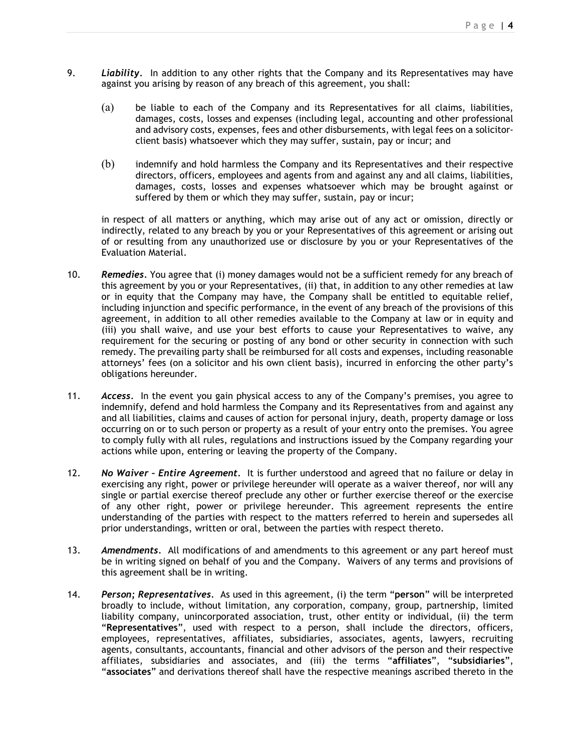- 9. *Liability.* In addition to any other rights that the Company and its Representatives may have against you arising by reason of any breach of this agreement, you shall:
	- (a) be liable to each of the Company and its Representatives for all claims, liabilities, damages, costs, losses and expenses (including legal, accounting and other professional and advisory costs, expenses, fees and other disbursements, with legal fees on a solicitorclient basis) whatsoever which they may suffer, sustain, pay or incur; and
	- (b) indemnify and hold harmless the Company and its Representatives and their respective directors, officers, employees and agents from and against any and all claims, liabilities, damages, costs, losses and expenses whatsoever which may be brought against or suffered by them or which they may suffer, sustain, pay or incur;

in respect of all matters or anything, which may arise out of any act or omission, directly or indirectly, related to any breach by you or your Representatives of this agreement or arising out of or resulting from any unauthorized use or disclosure by you or your Representatives of the Evaluation Material.

- 10. *Remedies.* You agree that (i) money damages would not be a sufficient remedy for any breach of this agreement by you or your Representatives, (ii) that, in addition to any other remedies at law or in equity that the Company may have, the Company shall be entitled to equitable relief, including injunction and specific performance, in the event of any breach of the provisions of this agreement, in addition to all other remedies available to the Company at law or in equity and (iii) you shall waive, and use your best efforts to cause your Representatives to waive, any requirement for the securing or posting of any bond or other security in connection with such remedy. The prevailing party shall be reimbursed for all costs and expenses, including reasonable attorneys' fees (on a solicitor and his own client basis), incurred in enforcing the other party's obligations hereunder.
- 11. *Access.* In the event you gain physical access to any of the Company's premises, you agree to indemnify, defend and hold harmless the Company and its Representatives from and against any and all liabilities, claims and causes of action for personal injury, death, property damage or loss occurring on or to such person or property as a result of your entry onto the premises. You agree to comply fully with all rules, regulations and instructions issued by the Company regarding your actions while upon, entering or leaving the property of the Company.
- 12. *No Waiver – Entire Agreement.* It is further understood and agreed that no failure or delay in exercising any right, power or privilege hereunder will operate as a waiver thereof, nor will any single or partial exercise thereof preclude any other or further exercise thereof or the exercise of any other right, power or privilege hereunder. This agreement represents the entire understanding of the parties with respect to the matters referred to herein and supersedes all prior understandings, written or oral, between the parties with respect thereto.
- 13. *Amendments.* All modifications of and amendments to this agreement or any part hereof must be in writing signed on behalf of you and the Company. Waivers of any terms and provisions of this agreement shall be in writing.
- 14. *Person; Representatives.* As used in this agreement, (i) the term "**person**" will be interpreted broadly to include, without limitation, any corporation, company, group, partnership, limited liability company, unincorporated association, trust, other entity or individual, (ii) the term "**Representatives**", used with respect to a person, shall include the directors, officers, employees, representatives, affiliates, subsidiaries, associates, agents, lawyers, recruiting agents, consultants, accountants, financial and other advisors of the person and their respective affiliates, subsidiaries and associates, and (iii) the terms "**affiliates**", "**subsidiaries**", "**associates**" and derivations thereof shall have the respective meanings ascribed thereto in the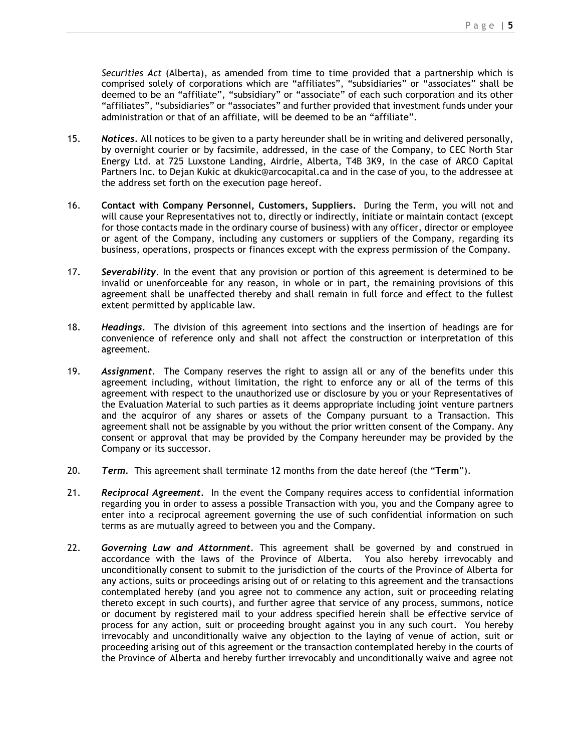*Securities Act* (Alberta), as amended from time to time provided that a partnership which is comprised solely of corporations which are "affiliates", "subsidiaries" or "associates" shall be deemed to be an "affiliate", "subsidiary" or "associate" of each such corporation and its other "affiliates", "subsidiaries" or "associates" and further provided that investment funds under your administration or that of an affiliate, will be deemed to be an "affiliate".

- 15. *Notices.* All notices to be given to a party hereunder shall be in writing and delivered personally, by overnight courier or by facsimile, addressed, in the case of the Company, to CEC North Star Energy Ltd. at 725 Luxstone Landing, Airdrie, Alberta, T4B 3K9, in the case of ARCO Capital Partners Inc. to Dejan Kukic at dkukic@arcocapital.ca and in the case of you, to the addressee at the address set forth on the execution page hereof.
- 16. **Contact with Company Personnel, Customers, Suppliers.** During the Term, you will not and will cause your Representatives not to, directly or indirectly, initiate or maintain contact (except for those contacts made in the ordinary course of business) with any officer, director or employee or agent of the Company, including any customers or suppliers of the Company, regarding its business, operations, prospects or finances except with the express permission of the Company.
- 17. *Severability.* In the event that any provision or portion of this agreement is determined to be invalid or unenforceable for any reason, in whole or in part, the remaining provisions of this agreement shall be unaffected thereby and shall remain in full force and effect to the fullest extent permitted by applicable law.
- 18. *Headings.* The division of this agreement into sections and the insertion of headings are for convenience of reference only and shall not affect the construction or interpretation of this agreement.
- 19. *Assignment.* The Company reserves the right to assign all or any of the benefits under this agreement including, without limitation, the right to enforce any or all of the terms of this agreement with respect to the unauthorized use or disclosure by you or your Representatives of the Evaluation Material to such parties as it deems appropriate including joint venture partners and the acquiror of any shares or assets of the Company pursuant to a Transaction. This agreement shall not be assignable by you without the prior written consent of the Company. Any consent or approval that may be provided by the Company hereunder may be provided by the Company or its successor.
- 20. *Term.* This agreement shall terminate 12 months from the date hereof (the "**Term**").
- 21. *Reciprocal Agreement.* In the event the Company requires access to confidential information regarding you in order to assess a possible Transaction with you, you and the Company agree to enter into a reciprocal agreement governing the use of such confidential information on such terms as are mutually agreed to between you and the Company.
- 22. *Governing Law and Attornment.* This agreement shall be governed by and construed in accordance with the laws of the Province of Alberta. You also hereby irrevocably and unconditionally consent to submit to the jurisdiction of the courts of the Province of Alberta for any actions, suits or proceedings arising out of or relating to this agreement and the transactions contemplated hereby (and you agree not to commence any action, suit or proceeding relating thereto except in such courts), and further agree that service of any process, summons, notice or document by registered mail to your address specified herein shall be effective service of process for any action, suit or proceeding brought against you in any such court. You hereby irrevocably and unconditionally waive any objection to the laying of venue of action, suit or proceeding arising out of this agreement or the transaction contemplated hereby in the courts of the Province of Alberta and hereby further irrevocably and unconditionally waive and agree not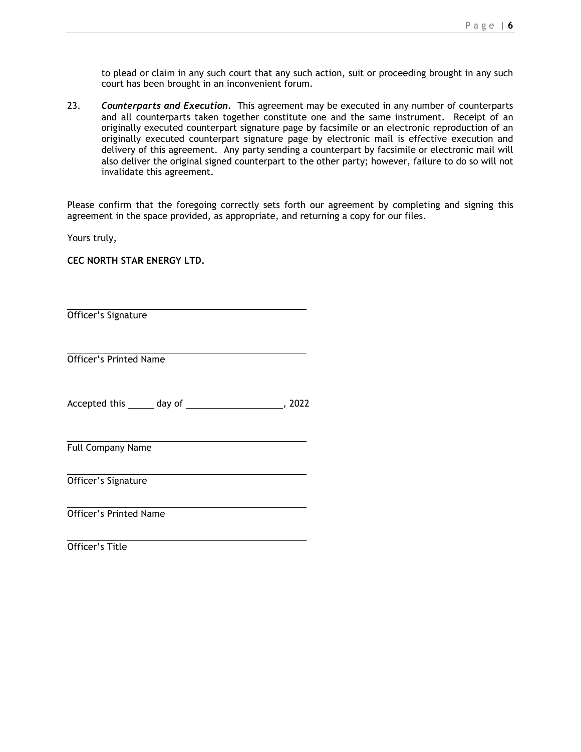to plead or claim in any such court that any such action, suit or proceeding brought in any such court has been brought in an inconvenient forum.

23. *Counterparts and Execution.* This agreement may be executed in any number of counterparts and all counterparts taken together constitute one and the same instrument. Receipt of an originally executed counterpart signature page by facsimile or an electronic reproduction of an originally executed counterpart signature page by electronic mail is effective execution and delivery of this agreement. Any party sending a counterpart by facsimile or electronic mail will also deliver the original signed counterpart to the other party; however, failure to do so will not invalidate this agreement.

Please confirm that the foregoing correctly sets forth our agreement by completing and signing this agreement in the space provided, as appropriate, and returning a copy for our files.

Yours truly,

**CEC NORTH STAR ENERGY LTD.** 

Officer's Signature

 Officer's Printed Name

Accepted this day of the control of the control of the control of the control of the control of the control of the control of the control of the control of the control of the control of the control of the control of the co

Full Company Name

Officer's Signature

Officer's Printed Name

Officer's Title